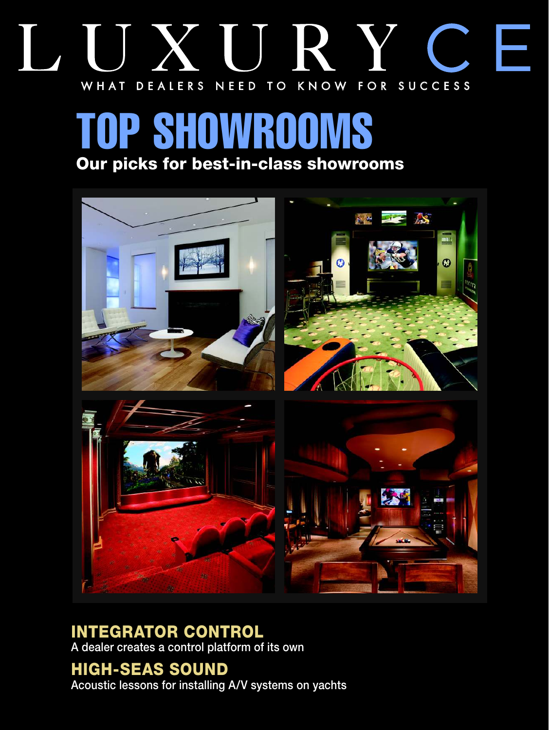# LUXURYCE WHAT DEALERS NEED TO KNOW FOR SUCCESS

## TOP SHOWROOMS Our picks for best-in-class showrooms



### INTEGRATOR CONTROL

A dealer creates a control platform of its own

### HIGH-SEAS SOUND

Acoustic lessons for installing A/V systems on yachts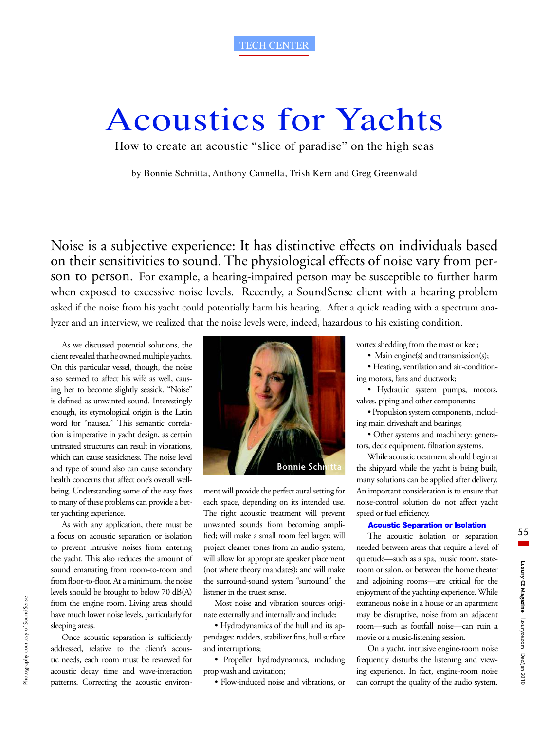TECH CENTER

## Acoustics for Yachts

How to create an acoustic "slice of paradise" on the high seas

by Bonnie Schnitta, Anthony Cannella, Trish Kern and Greg Greenwald

Noise is a subjective experience: It has distinctive effects on individuals based on their sensitivities to sound. The physiological effects of noise vary from person to person. For example, a hearing-impaired person may be susceptible to further harm when exposed to excessive noise levels. Recently, a SoundSense client with a hearing problem asked if the noise from his yacht could potentially harm his hearing. After a quick reading with a spectrum analyzer and an interview, we realized that the noise levels were, indeed, hazardous to his existing condition.

As we discussed potential solutions, the client revealed that he owned multiple yachts. On this particular vessel, though, the noise also seemed to affect his wife as well, causing her to become slightly seasick. "Noise" is defined as unwanted sound. Interestingly enough, its etymological origin is the Latin word for "nausea." This semantic correlation is imperative in yacht design, as certain untreated structures can result in vibrations, which can cause seasickness. The noise level and type of sound also can cause secondary health concerns that affect one's overall wellbeing. Understanding some of the easy fixes to many of these problems can provide a better yachting experience.

As with any application, there must be a focus on acoustic separation or isolation to prevent intrusive noises from entering the yacht. This also reduces the amount of sound emanating from room-to-room and from floor-to-floor. At a minimum, the noise levels should be brought to below 70 dB(A) from the engine room. Living areas should have much lower noise levels, particularly for sleeping areas.

Once acoustic separation is sufficiently addressed, relative to the client's acoustic needs, each room must be reviewed for acoustic decay time and wave-interaction patterns. Correcting the acoustic environ-



ment will provide the perfect aural setting for each space, depending on its intended use. The right acoustic treatment will prevent unwanted sounds from becoming amplified; will make a small room feel larger; will project cleaner tones from an audio system; will allow for appropriate speaker placement (not where theory mandates); and will make the surround-sound system "surround" the listener in the truest sense.

Most noise and vibration sources originate externally and internally and include:

• Hydrodynamics of the hull and its appendages: rudders, stabilizer fins, hull surface and interruptions;

• Propeller hydrodynamics, including prop wash and cavitation;

• Flow-induced noise and vibrations, or

vortex shedding from the mast or keel;

• Main engine(s) and transmission(s);

• Heating, ventilation and air-conditioning motors, fans and ductwork;

• Hydraulic system pumps, motors, valves, piping and other components;

• Propulsion system components, including main driveshaft and bearings;

• Other systems and machinery: generators, deck equipment, filtration systems.

While acoustic treatment should begin at the shipyard while the yacht is being built, many solutions can be applied after delivery. An important consideration is to ensure that noise-control solution do not affect yacht speed or fuel efficiency.

### Acoustic Separation or Isolation

The acoustic isolation or separation needed between areas that require a level of quietude—such as a spa, music room, stateroom or salon, or between the home theater and adjoining rooms—are critical for the enjoyment of the yachting experience. While extraneous noise in a house or an apartment may be disruptive, noise from an adjacent room—such as footfall noise—can ruin a movie or a music-listening session.

On a yacht, intrusive engine-room noise frequently disturbs the listening and viewing experience. In fact, engine-room noise can corrupt the quality of the audio system.

**Luxury CE Magazine** 

55

**College** 

luxuryce.com Dec/Jan 2010

Luxury CE Magazine luxuryce.com Dec/Jan 2010